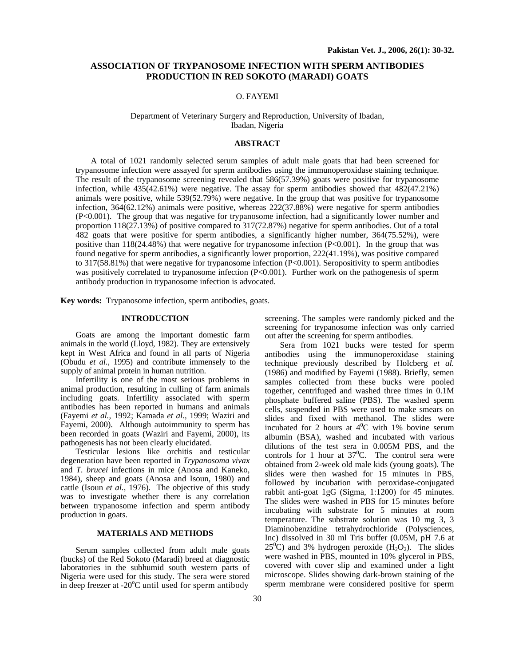# **ASSOCIATION OF TRYPANOSOME INFECTION WITH SPERM ANTIBODIES PRODUCTION IN RED SOKOTO (MARADI) GOATS**

# O. FAYEMI

## Department of Veterinary Surgery and Reproduction, University of Ibadan, Ibadan, Nigeria

# **ABSTRACT**

A total of 1021 randomly selected serum samples of adult male goats that had been screened for trypanosome infection were assayed for sperm antibodies using the immunoperoxidase staining technique. The result of the trypanosome screening revealed that 586(57.39%) goats were positive for trypanosome infection, while 435(42.61%) were negative. The assay for sperm antibodies showed that 482(47.21%) animals were positive, while 539(52.79%) were negative. In the group that was positive for trypanosome infection, 364(62.12%) animals were positive, whereas 222(37.88%) were negative for sperm antibodies (P<0.001). The group that was negative for trypanosome infection, had a significantly lower number and proportion 118(27.13%) of positive compared to 317(72.87%) negative for sperm antibodies. Out of a total 482 goats that were positive for sperm antibodies, a significantly higher number, 364(75.52%), were positive than 118(24.48%) that were negative for trypanosome infection (P<0.001). In the group that was found negative for sperm antibodies, a significantly lower proportion, 222(41.19%), was positive compared to 317(58.81%) that were negative for trypanosome infection (P<0.001). Seropositivity to sperm antibodies was positively correlated to trypanosome infection (P<0.001). Further work on the pathogenesis of sperm antibody production in trypanosome infection is advocated.

**Key words:** Trypanosome infection, sperm antibodies, goats.

### **INTRODUCTION**

Goats are among the important domestic farm animals in the world (Lloyd, 1982). They are extensively kept in West Africa and found in all parts of Nigeria (Obudu *et al.,* 1995) and contribute immensely to the supply of animal protein in human nutrition.

Infertility is one of the most serious problems in animal production, resulting in culling of farm animals including goats. Infertility associated with sperm antibodies has been reported in humans and animals (Fayemi *et al.,* 1992; Kamada *et al.,* 1999; Waziri and Fayemi, 2000). Although autoimmunity to sperm has been recorded in goats (Waziri and Fayemi, 2000), its pathogenesis has not been clearly elucidated.

Testicular lesions like orchitis and testicular degeneration have been reported in *Trypanosoma vivax* and *T. brucei* infections in mice (Anosa and Kaneko, 1984), sheep and goats (Anosa and Isoun, 1980) and cattle (Isoun *et al.,* 1976). The objective of this study was to investigate whether there is any correlation between trypanosome infection and sperm antibody production in goats.

#### **MATERIALS AND METHODS**

Serum samples collected from adult male goats (bucks) of the Red Sokoto (Maradi) breed at diagnostic laboratories in the subhumid south western parts of Nigeria were used for this study. The sera were stored in deep freezer at -20 $^{\circ}$ C until used for sperm antibody screening. The samples were randomly picked and the screening for trypanosome infection was only carried out after the screening for sperm antibodies.

Sera from 1021 bucks were tested for sperm antibodies using the immunoperoxidase staining technique previously described by Holcberg *et al.* (1986) and modified by Fayemi (1988). Briefly, semen samples collected from these bucks were pooled together, centrifuged and washed three times in 0.1M phosphate buffered saline (PBS). The washed sperm cells, suspended in PBS were used to make smears on slides and fixed with methanol. The slides were incubated for 2 hours at  $4^0C$  with 1% bovine serum albumin (BSA), washed and incubated with various dilutions of the test sera in 0.005M PBS, and the controls for 1 hour at  $37^{\circ}$ C. The control sera were obtained from 2-week old male kids (young goats). The slides were then washed for 15 minutes in PBS, followed by incubation with peroxidase-conjugated rabbit anti-goat 1gG (Sigma, 1:1200) for 45 minutes. The slides were washed in PBS for 15 minutes before incubating with substrate for 5 minutes at room temperature. The substrate solution was 10 mg 3, 3 Diaminobenzidine tetrahydrochloride (Polysciences, Inc) dissolved in 30 ml Tris buffer (0.05M, pH 7.6 at  $25^{\circ}$ C) and 3% hydrogen peroxide (H<sub>2</sub>O<sub>2</sub>). The slides were washed in PBS, mounted in 10% glycerol in PBS, covered with cover slip and examined under a light microscope. Slides showing dark-brown staining of the sperm membrane were considered positive for sperm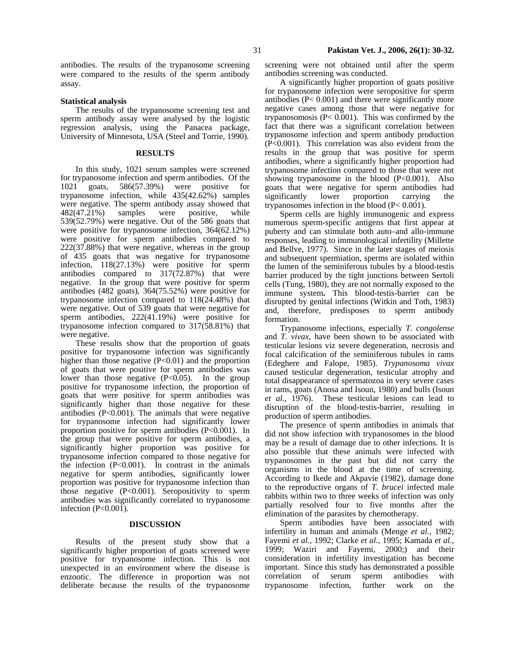antibodies. The results of the trypanosome screening were compared to the results of the sperm antibody assay.

#### **Statistical analysis**

The results of the trypanosome screening test and sperm antibody assay were analysed by the logistic regression analysis, using the Panacea package, University of Minnesota, USA (Steel and Torrie, 1990).

#### **RESULTS**

In this study, 1021 serum samples were screened for trypanosome infection and sperm antibodies. Of the 1021 goats, 586(57.39%) were positive for trypanosome infection, while  $435(42.62%)$  samples were negative. The sperm antibody assay showed that 482(47.21%) samples were positive, while 539(52.79%) were negative. Out of the 586 goats that were positive for trypanosome infection, 364(62.12%) were positive for sperm antibodies compared to 222(37.88%) that were negative, whereas in the group of 435 goats that was negative for trypanosome infection, 118(27.13%) were positive for sperm antibodies compared to  $317(72.87%)$  that were negative. In the group that were positive for sperm antibodies (482 goats),  $364(75.52\%)$  were positive for trypanosome infection compared to 118(24.48%) that were negative. Out of 539 goats that were negative for sperm antibodies, 222(41.19%) were positive for trypanosome infection compared to 317(58.81%) that were negative.

These results show that the proportion of goats positive for trypanosome infection was significantly higher than those negative  $(P<0.01)$  and the proportion of goats that were positive for sperm antibodies was lower than those negative (P<0.05). In the group positive for trypanosome infection, the proportion of goats that were positive for sperm antibodies was significantly higher than those negative for these antibodies (P<0.001). The animals that were negative for trypanosome infection had significantly lower proportion positive for sperm antibodies (P<0.001). In the group that were positive for sperm antibodies, a significantly higher proportion was positive for trypanosome infection compared to those negative for the infection  $(P<0.001)$ . In contrast in the animals negative for sperm antibodies, significantly lower proportion was positive for trypanosome infection than those negative (P<0.001). Seropositivity to sperm antibodies was significantly correlated to trypanosome infection (P<0.001).

#### **DISCUSSION**

Results of the present study show that a significantly higher proportion of goats screened were positive for trypanosome infection. This is not unexpected in an environment where the disease is enzootic. The difference in proportion was not deliberate because the results of the trypanosome

screening were not obtained until after the sperm antibodies screening was conducted.

A significantly higher proportion of goats positive for trypanosome infection were seropositive for sperm antibodies (P< 0.001) and there were significantly more negative cases among those that were negative for trypanosomosis ( $P < 0.001$ ). This was confirmed by the fact that there was a significant correlation between trypanosome infection and sperm antibody production (P<0.001). This correlation was also evident from the results in the group that was positive for sperm antibodies, where a significantly higher proportion had trypanosome infection compared to those that were not showing trypanosome in the blood  $(P<0.001)$ . Also goats that were negative for sperm antibodies had significantly lower proportion carrying the trypanosomes infection in the blood (P< 0.001).

Sperm cells are highly immunogenic and express numerous sperm-specific antigens that first appear at puberty and can stimulate both auto–and allo-immune responses, leading to immunological infertility (Millette and Bellve, 1977). Since in the later stages of meiosis and subsequent spermiation, sperms are isolated within the lumen of the seminiferous tubules by a blood-testis barrier produced by the tight junctions between Sertoli cells (Tung, 1980), they are not normally exposed to the immune system**.** This blood-testis-barrier can be disrupted by genital infections (Witkin and Toth, 1983) and, therefore, predisposes to sperm antibody formation.

Trypanosome infections, especially *T. congolense* and *T. vivax,* have been shown to be associated with testicular lesions viz severe degeneration, necrosis and focal calcification of the seminiferous tubules in rams (Edeghere and Falope, 1985). *Trypanosoma vivax* caused testicular degeneration, testicular atrophy and total disappearance of spermatozoa in very severe cases in rams, goats (Anosa and Isoun, 1980) and bulls (Isoun *et al*., 1976). These testicular lesions can lead to disruption of the blood-testis-barrier, resulting in production of sperm antibodies.

The presence of sperm antibodies in animals that did not show infection with trypanosomes in the blood may be a result of damage due to other infections. It is also possible that these animals were infected with trypanosomes in the past but did not carry the organisms in the blood at the time of screening. According to Ikede and Akpavie (1982), damage done to the reproductive organs of *T. brucei* infected male rabbits within two to three weeks of infection was only partially resolved four to five months after the elimination of the parasites by chemotherapy.

Sperm antibodies have been associated with infertility in human and animals (Menge *et al.,* 1982; Fayemi *et al.*, 1992; Clarke *et al.,* 1995; Kamada *et al.,* 1999; Waziri and Fayemi, 2000;) and their consideration in infertility investigation has become important. Since this study has demonstrated a possible correlation of serum sperm antibodies with trypanosome infection, further work on the